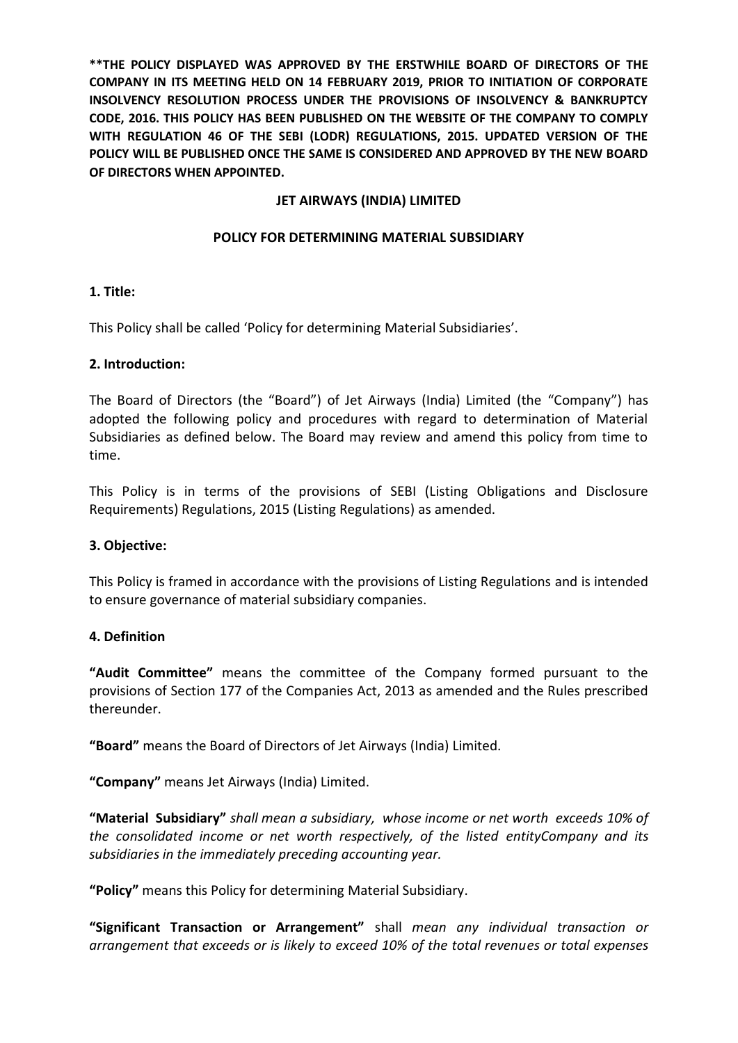**\*\*THE POLICY DISPLAYED WAS APPROVED BY THE ERSTWHILE BOARD OF DIRECTORS OF THE COMPANY IN ITS MEETING HELD ON 14 FEBRUARY 2019, PRIOR TO INITIATION OF CORPORATE INSOLVENCY RESOLUTION PROCESS UNDER THE PROVISIONS OF INSOLVENCY & BANKRUPTCY CODE, 2016. THIS POLICY HAS BEEN PUBLISHED ON THE WEBSITE OF THE COMPANY TO COMPLY WITH REGULATION 46 OF THE SEBI (LODR) REGULATIONS, 2015. UPDATED VERSION OF THE POLICY WILL BE PUBLISHED ONCE THE SAME IS CONSIDERED AND APPROVED BY THE NEW BOARD OF DIRECTORS WHEN APPOINTED.**

## **JET AIRWAYS (INDIA) LIMITED**

## **POLICY FOR DETERMINING MATERIAL SUBSIDIARY**

### **1. Title:**

This Policy shall be called 'Policy for determining Material Subsidiaries'.

### **2. Introduction:**

The Board of Directors (the "Board") of Jet Airways (India) Limited (the "Company") has adopted the following policy and procedures with regard to determination of Material Subsidiaries as defined below. The Board may review and amend this policy from time to time.

This Policy is in terms of the provisions of SEBI (Listing Obligations and Disclosure Requirements) Regulations, 2015 (Listing Regulations) as amended.

### **3. Objective:**

This Policy is framed in accordance with the provisions of Listing Regulations and is intended to ensure governance of material subsidiary companies.

### **4. Definition**

**"Audit Committee"** means the committee of the Company formed pursuant to the provisions of Section 177 of the Companies Act, 2013 as amended and the Rules prescribed thereunder.

**"Board"** means the Board of Directors of Jet Airways (India) Limited.

**"Company"** means Jet Airways (India) Limited.

**"Material Subsidiary"** *shall mean a subsidiary, whose income or net worth exceeds 10% of the consolidated income or net worth respectively, of the listed entityCompany and its subsidiaries in the immediately preceding accounting year.*

**"Policy"** means this Policy for determining Material Subsidiary.

**"Significant Transaction or Arrangement"** shall *mean any individual transaction or arrangement that exceeds or is likely to exceed 10% of the total revenues or total expenses*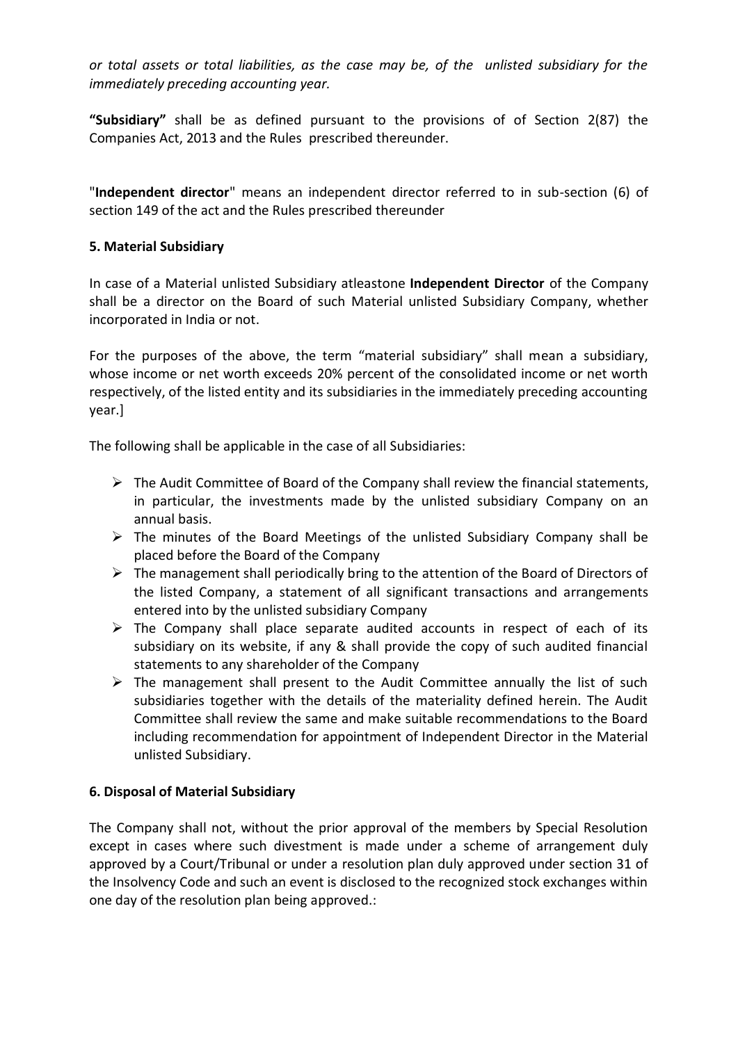*or total assets or total liabilities, as the case may be, of the unlisted subsidiary for the immediately preceding accounting year.*

**"Subsidiary"** shall be as defined pursuant to the provisions of of Section 2(87) the Companies Act, 2013 and the Rules prescribed thereunder.

"**Independent director**" means an independent director referred to in sub-section (6) of section 149 of the act and the Rules prescribed thereunder

# **5. Material Subsidiary**

In case of a Material unlisted Subsidiary atleastone **Independent Director** of the Company shall be a director on the Board of such Material unlisted Subsidiary Company, whether incorporated in India or not.

For the purposes of the above, the term "material subsidiary" shall mean a subsidiary, whose income or net worth exceeds 20% percent of the consolidated income or net worth respectively, of the listed entity and its subsidiaries in the immediately preceding accounting year.]

The following shall be applicable in the case of all Subsidiaries:

- $\triangleright$  The Audit Committee of Board of the Company shall review the financial statements, in particular, the investments made by the unlisted subsidiary Company on an annual basis.
- $\triangleright$  The minutes of the Board Meetings of the unlisted Subsidiary Company shall be placed before the Board of the Company
- $\triangleright$  The management shall periodically bring to the attention of the Board of Directors of the listed Company, a statement of all significant transactions and arrangements entered into by the unlisted subsidiary Company
- $\triangleright$  The Company shall place separate audited accounts in respect of each of its subsidiary on its website, if any & shall provide the copy of such audited financial statements to any shareholder of the Company
- $\triangleright$  The management shall present to the Audit Committee annually the list of such subsidiaries together with the details of the materiality defined herein. The Audit Committee shall review the same and make suitable recommendations to the Board including recommendation for appointment of Independent Director in the Material unlisted Subsidiary.

# **6. Disposal of Material Subsidiary**

The Company shall not, without the prior approval of the members by Special Resolution except in cases where such divestment is made under a scheme of arrangement duly approved by a Court/Tribunal or under a resolution plan duly approved under section 31 of the Insolvency Code and such an event is disclosed to the recognized stock exchanges within one day of the resolution plan being approved.: